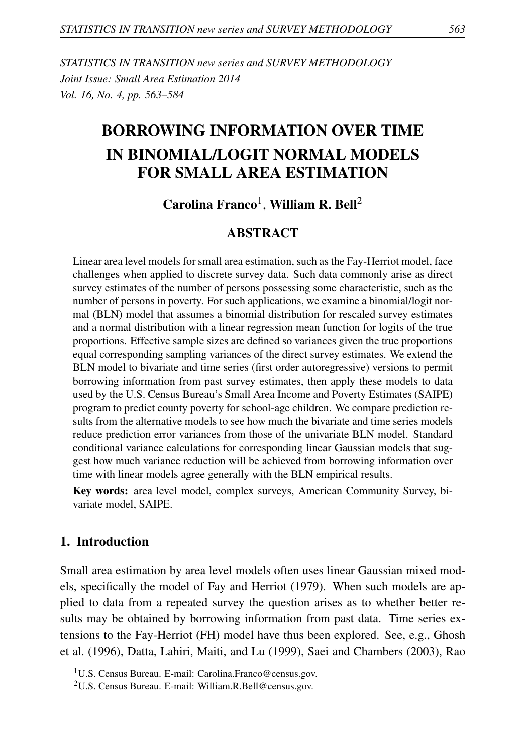*STATISTICS IN TRANSITION new series and SURVEY METHODOLOGY Joint Issue: Small Area Estimation 2014 Vol. 16, No. 4, pp. 563–584*

# BORROWING INFORMATION OVER TIME IN BINOMIAL/LOGIT NORMAL MODELS FOR SMALL AREA ESTIMATION

# $C$ arolina Franco<sup>1</sup>, William R. Bell<sup>2</sup>

## ABSTRACT

Linear area level models for small area estimation, such as the Fay-Herriot model, face challenges when applied to discrete survey data. Such data commonly arise as direct survey estimates of the number of persons possessing some characteristic, such as the number of persons in poverty. For such applications, we examine a binomial/logit normal (BLN) model that assumes a binomial distribution for rescaled survey estimates and a normal distribution with a linear regression mean function for logits of the true proportions. Effective sample sizes are defined so variances given the true proportions equal corresponding sampling variances of the direct survey estimates. We extend the BLN model to bivariate and time series (first order autoregressive) versions to permit borrowing information from past survey estimates, then apply these models to data used by the U.S. Census Bureau's Small Area Income and Poverty Estimates (SAIPE) program to predict county poverty for school-age children. We compare prediction results from the alternative models to see how much the bivariate and time series models reduce prediction error variances from those of the univariate BLN model. Standard conditional variance calculations for corresponding linear Gaussian models that suggest how much variance reduction will be achieved from borrowing information over time with linear models agree generally with the BLN empirical results.

Key words: area level model, complex surveys, American Community Survey, bivariate model, SAIPE.

#### 1. Introduction

Small area estimation by area level models often uses linear Gaussian mixed models, specifically the model of Fay and Herriot (1979). When such models are applied to data from a repeated survey the question arises as to whether better results may be obtained by borrowing information from past data. Time series extensions to the Fay-Herriot (FH) model have thus been explored. See, e.g., Ghosh et al. (1996), Datta, Lahiri, Maiti, and Lu (1999), Saei and Chambers (2003), Rao

<sup>&</sup>lt;sup>1</sup>U.S. Census Bureau. E-mail: Carolina.Franco@census.gov.

<sup>2</sup>U.S. Census Bureau. E-mail: William.R.Bell@census.gov.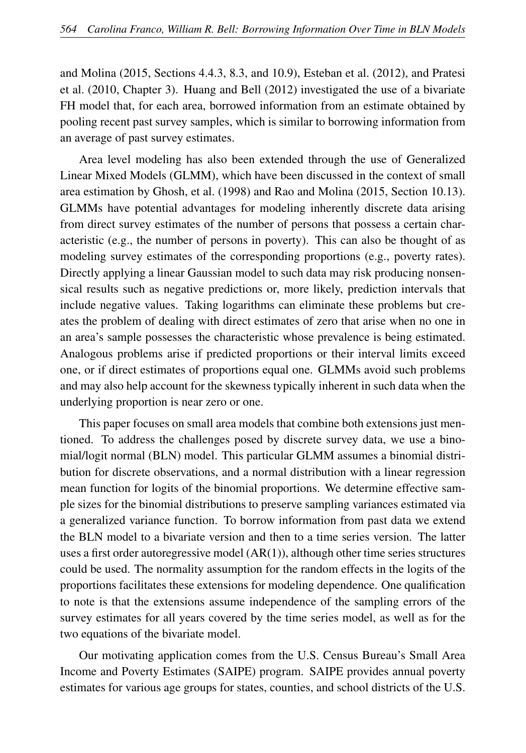and Molina (2015, Sections 4.4.3, 8.3, and 10.9), Esteban et al. (2012), and Pratesi et al. (2010, Chapter 3). Huang and Bell (2012) investigated the use of a bivariate FH model that, for each area, borrowed information from an estimate obtained by pooling recent past survey samples, which is similar to borrowing information from an average of past survey estimates.

Area level modeling has also been extended through the use of Generalized Linear Mixed Models (GLMM), which have been discussed in the context of small area estimation by Ghosh, et al. (1998) and Rao and Molina (2015, Section 10.13). GLMMs have potential advantages for modeling inherently discrete data arising from direct survey estimates of the number of persons that possess a certain characteristic (e.g., the number of persons in poverty). This can also be thought of as modeling survey estimates of the corresponding proportions (e.g., poverty rates). Directly applying a linear Gaussian model to such data may risk producing nonsensical results such as negative predictions or, more likely, prediction intervals that include negative values. Taking logarithms can eliminate these problems but creates the problem of dealing with direct estimates of zero that arise when no one in an area's sample possesses the characteristic whose prevalence is being estimated. Analogous problems arise if predicted proportions or their interval limits exceed one, or if direct estimates of proportions equal one. GLMMs avoid such problems and may also help account for the skewness typically inherent in such data when the underlying proportion is near zero or one.

This paper focuses on small area models that combine both extensions just mentioned. To address the challenges posed by discrete survey data, we use a binomial/logit normal (BLN) model. This particular GLMM assumes a binomial distribution for discrete observations, and a normal distribution with a linear regression mean function for logits of the binomial proportions. We determine effective sample sizes for the binomial distributions to preserve sampling variances estimated via a generalized variance function. To borrow information from past data we extend the BLN model to a bivariate version and then to a time series version. The latter uses a first order autoregressive model  $(AR(1))$ , although other time series structures could be used. The normality assumption for the random effects in the logits of the proportions facilitates these extensions for modeling dependence. One qualification to note is that the extensions assume independence of the sampling errors of the survey estimates for all years covered by the time series model, as well as for the two equations of the bivariate model.

Our motivating application comes from the U.S. Census Bureau's Small Area Income and Poverty Estimates (SAIPE) program. SAIPE provides annual poverty estimates for various age groups for states, counties, and school districts of the U.S.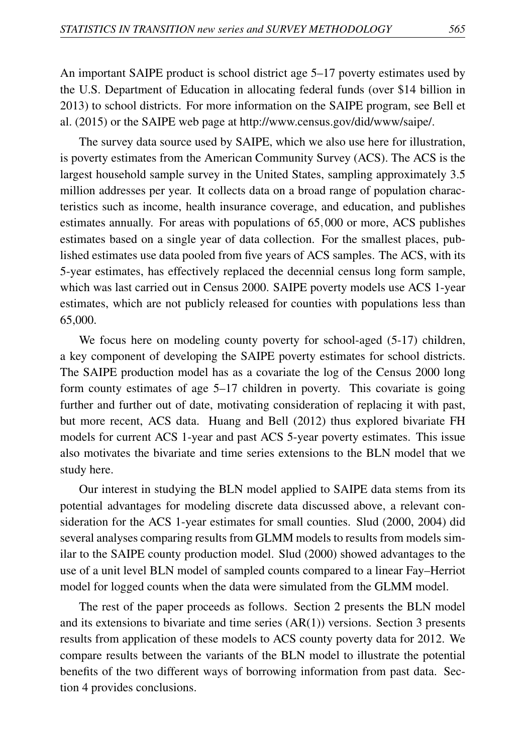An important SAIPE product is school district age 5–17 poverty estimates used by the U.S. Department of Education in allocating federal funds (over \$14 billion in 2013) to school districts. For more information on the SAIPE program, see Bell et al. (2015) or the SAIPE web page at http://www.census.gov/did/www/saipe/.

The survey data source used by SAIPE, which we also use here for illustration, is poverty estimates from the American Community Survey (ACS). The ACS is the largest household sample survey in the United States, sampling approximately 3.5 million addresses per year. It collects data on a broad range of population characteristics such as income, health insurance coverage, and education, and publishes estimates annually. For areas with populations of 65,000 or more, ACS publishes estimates based on a single year of data collection. For the smallest places, published estimates use data pooled from five years of ACS samples. The ACS, with its 5-year estimates, has effectively replaced the decennial census long form sample, which was last carried out in Census 2000. SAIPE poverty models use ACS 1-year estimates, which are not publicly released for counties with populations less than 65,000.

We focus here on modeling county poverty for school-aged (5-17) children, a key component of developing the SAIPE poverty estimates for school districts. The SAIPE production model has as a covariate the log of the Census 2000 long form county estimates of age 5–17 children in poverty. This covariate is going further and further out of date, motivating consideration of replacing it with past, but more recent, ACS data. Huang and Bell (2012) thus explored bivariate FH models for current ACS 1-year and past ACS 5-year poverty estimates. This issue also motivates the bivariate and time series extensions to the BLN model that we study here.

Our interest in studying the BLN model applied to SAIPE data stems from its potential advantages for modeling discrete data discussed above, a relevant consideration for the ACS 1-year estimates for small counties. Slud (2000, 2004) did several analyses comparing results from GLMM models to results from models similar to the SAIPE county production model. Slud (2000) showed advantages to the use of a unit level BLN model of sampled counts compared to a linear Fay–Herriot model for logged counts when the data were simulated from the GLMM model.

The rest of the paper proceeds as follows. Section 2 presents the BLN model and its extensions to bivariate and time series (AR(1)) versions. Section 3 presents results from application of these models to ACS county poverty data for 2012. We compare results between the variants of the BLN model to illustrate the potential benefits of the two different ways of borrowing information from past data. Section 4 provides conclusions.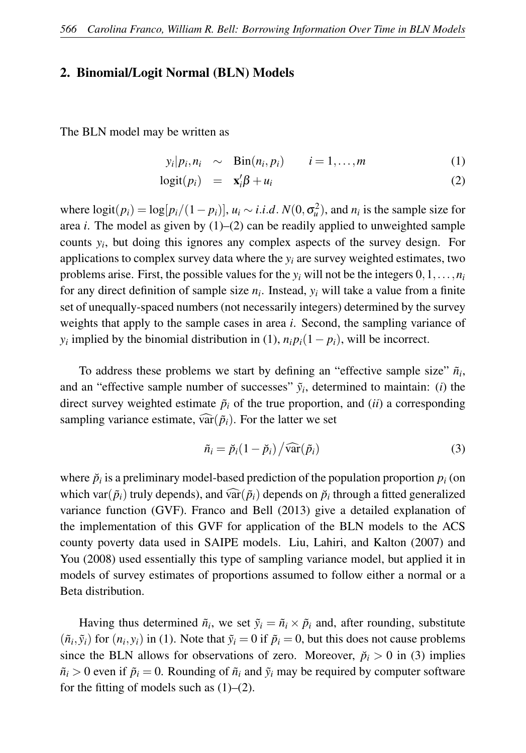#### 2. Binomial/Logit Normal (BLN) Models

The BLN model may be written as

$$
y_i|p_i, n_i \sim Bin(n_i, p_i) \qquad i = 1, \ldots, m \tag{1}
$$

$$
logit(p_i) = \mathbf{x}'_i \boldsymbol{\beta} + u_i \tag{2}
$$

where  $logit(p_i) = log[p_i/(1-p_i)], u_i \sim i.i.d. N(0, \sigma_u^2)$ , and  $n_i$  is the sample size for area *i*. The model as given by  $(1)$ – $(2)$  can be readily applied to unweighted sample counts *y<sup>i</sup>* , but doing this ignores any complex aspects of the survey design. For applications to complex survey data where the *y<sup>i</sup>* are survey weighted estimates, two problems arise. First, the possible values for the  $y_i$  will not be the integers  $0,1,\ldots,n_i$ for any direct definition of sample size *n<sup>i</sup>* . Instead, *y<sup>i</sup>* will take a value from a finite set of unequally-spaced numbers (not necessarily integers) determined by the survey weights that apply to the sample cases in area *i*. Second, the sampling variance of *y*<sup>*i*</sup> implied by the binomial distribution in (1),  $n_i p_i(1-p_i)$ , will be incorrect.

To address these problems we start by defining an "effective sample size"  $\tilde{n}_i$ , and an "effective sample number of successes"  $\tilde{y}_i$ , determined to maintain: (*i*) the direct survey weighted estimate  $\tilde{p}_i$  of the true proportion, and *(ii)* a corresponding sampling variance estimate,  $\widehat{\text{var}}(\tilde{p}_i)$ . For the latter we set

$$
\tilde{n}_i = \tilde{p}_i (1 - \tilde{p}_i) / \widehat{\text{var}}(\tilde{p}_i)
$$
\n(3)

where  $\breve{p}_i$  is a preliminary model-based prediction of the population proportion  $p_i$  (on which var( $\tilde{p}_i$ ) truly depends), and var( $\tilde{p}_i$ ) depends on  $\tilde{p}_i$  through a fitted generalized<br>unique function (CVF). France, and Dall (2012), since a datailed explanation of variance function (GVF). Franco and Bell (2013) give a detailed explanation of the implementation of this GVF for application of the BLN models to the ACS county poverty data used in SAIPE models. Liu, Lahiri, and Kalton (2007) and You (2008) used essentially this type of sampling variance model, but applied it in models of survey estimates of proportions assumed to follow either a normal or a Beta distribution.

Having thus determined  $\tilde{n}_i$ , we set  $\tilde{y}_i = \tilde{n}_i \times \tilde{p}_i$  and, after rounding, substitute  $(\tilde{n}_i, \tilde{y}_i)$  for  $(n_i, y_i)$  in (1). Note that  $\tilde{y}_i = 0$  if  $\tilde{p}_i = 0$ , but this does not cause problems since the BLN allows for observations of zero. Moreover,  $\ddot{p}_i > 0$  in (3) implies  $\tilde{n}_i > 0$  even if  $\tilde{p}_i = 0$ . Rounding of  $\tilde{n}_i$  and  $\tilde{y}_i$  may be required by computer software for the fitting of models such as  $(1)$ – $(2)$ .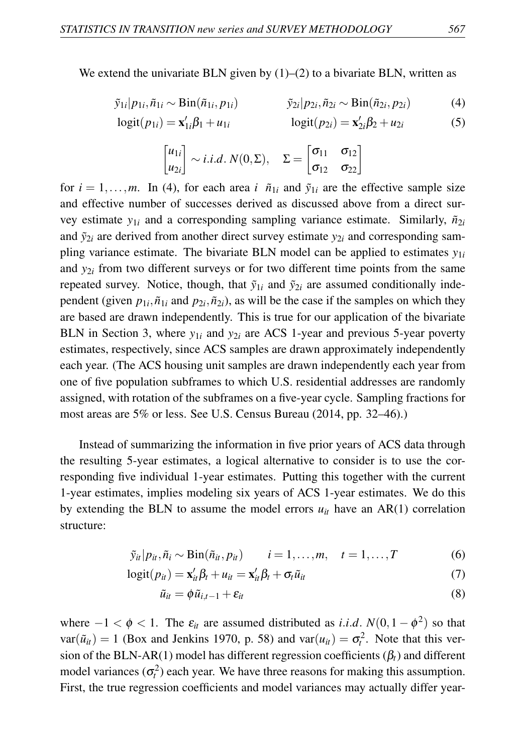We extend the univariate BLN given by  $(1)$ – $(2)$  to a bivariate BLN, written as

$$
\tilde{y}_{1i}|p_{1i},\tilde{n}_{1i} \sim \text{Bin}(\tilde{n}_{1i},p_{1i}) \qquad \qquad \tilde{y}_{2i}|p_{2i},\tilde{n}_{2i} \sim \text{Bin}(\tilde{n}_{2i},p_{2i}) \qquad (4)
$$

$$
logit(p_{1i}) = \mathbf{x}'_{1i}\beta_1 + u_{1i} \qquad \qquad logit(p_{2i}) = \mathbf{x}'_{2i}\beta_2 + u_{2i} \tag{5}
$$

$$
\begin{bmatrix} u_{1i} \\ u_{2i} \end{bmatrix} \sim i.i.d. \ N(0,\Sigma), \quad \Sigma = \begin{bmatrix} \sigma_{11} & \sigma_{12} \\ \sigma_{12} & \sigma_{22} \end{bmatrix}
$$

for  $i = 1, \ldots, m$ . In (4), for each area *i*  $\tilde{n}_{1i}$  and  $\tilde{y}_{1i}$  are the effective sample size and effective number of successes derived as discussed above from a direct survey estimate  $y_{1i}$  and a corresponding sampling variance estimate. Similarly,  $\tilde{n}_{2i}$ and  $\tilde{y}_{2i}$  are derived from another direct survey estimate  $y_{2i}$  and corresponding sampling variance estimate. The bivariate BLN model can be applied to estimates  $y_{1i}$ and *y*2*<sup>i</sup>* from two different surveys or for two different time points from the same repeated survey. Notice, though, that  $\tilde{y}_{1i}$  and  $\tilde{y}_{2i}$  are assumed conditionally independent (given  $p_{1i}$ ,  $\tilde{n}_{1i}$  and  $p_{2i}$ ,  $\tilde{n}_{2i}$ ), as will be the case if the samples on which they are based are drawn independently. This is true for our application of the bivariate BLN in Section 3, where  $y_{1i}$  and  $y_{2i}$  are ACS 1-year and previous 5-year poverty estimates, respectively, since ACS samples are drawn approximately independently each year. (The ACS housing unit samples are drawn independently each year from one of five population subframes to which U.S. residential addresses are randomly assigned, with rotation of the subframes on a five-year cycle. Sampling fractions for most areas are 5% or less. See U.S. Census Bureau (2014, pp. 32–46).)

Instead of summarizing the information in five prior years of ACS data through the resulting 5-year estimates, a logical alternative to consider is to use the corresponding five individual 1-year estimates. Putting this together with the current 1-year estimates, implies modeling six years of ACS 1-year estimates. We do this by extending the BLN to assume the model errors  $u_{it}$  have an AR(1) correlation structure:

$$
\tilde{y}_{it}|p_{it},\tilde{n}_i \sim \text{Bin}(\tilde{n}_{it},p_{it}) \qquad i=1,\ldots,m, \quad t=1,\ldots,T \qquad (6)
$$

$$
logit(p_{it}) = \mathbf{x}_{it}'\boldsymbol{\beta}_t + u_{it} = \mathbf{x}_{it}'\boldsymbol{\beta}_t + \sigma_t\tilde{u}_{it}
$$
\n<sup>(7)</sup>

$$
\tilde{u}_{it} = \phi \tilde{u}_{i,t-1} + \varepsilon_{it} \tag{8}
$$

where  $-1 < \phi < 1$ . The  $\varepsilon_{it}$  are assumed distributed as *i.i.d.*  $N(0, 1 - \phi^2)$  so that  $var(\tilde{u}_{it}) = 1$  (Box and Jenkins 1970, p. 58) and  $var(u_{it}) = \sigma_t^2$ . Note that this version of the BLN-AR(1) model has different regression coefficients  $(\beta_t)$  and different model variances  $(\sigma_t^2)$  each year. We have three reasons for making this assumption. First, the true regression coefficients and model variances may actually differ year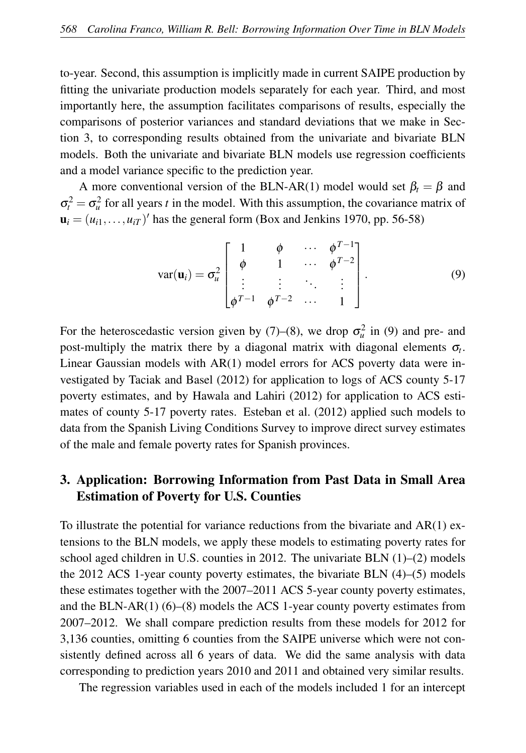to-year. Second, this assumption is implicitly made in current SAIPE production by fitting the univariate production models separately for each year. Third, and most importantly here, the assumption facilitates comparisons of results, especially the comparisons of posterior variances and standard deviations that we make in Section 3, to corresponding results obtained from the univariate and bivariate BLN models. Both the univariate and bivariate BLN models use regression coefficients and a model variance specific to the prediction year.

A more conventional version of the BLN-AR(1) model would set  $\beta_t = \beta$  and  $\sigma_t^2 = \sigma_u^2$  for all years *t* in the model. With this assumption, the covariance matrix of  $\mathbf{u}_i = (u_{i1}, \dots, u_{iT})'$  has the general form (Box and Jenkins 1970, pp. 56-58)

$$
\text{var}(\mathbf{u}_i) = \sigma_u^2 \begin{bmatrix} 1 & \phi & \cdots & \phi^{T-1} \\ \phi & 1 & \cdots & \phi^{T-2} \\ \vdots & \vdots & \ddots & \vdots \\ \phi^{T-1} & \phi^{T-2} & \cdots & 1 \end{bmatrix} . \tag{9}
$$

For the heteroscedastic version given by (7)–(8), we drop  $\sigma_u^2$  in (9) and pre- and post-multiply the matrix there by a diagonal matrix with diagonal elements σ*<sup>t</sup>* . Linear Gaussian models with AR(1) model errors for ACS poverty data were investigated by Taciak and Basel (2012) for application to logs of ACS county 5-17 poverty estimates, and by Hawala and Lahiri (2012) for application to ACS estimates of county 5-17 poverty rates. Esteban et al. (2012) applied such models to data from the Spanish Living Conditions Survey to improve direct survey estimates of the male and female poverty rates for Spanish provinces.

# 3. Application: Borrowing Information from Past Data in Small Area Estimation of Poverty for U.S. Counties

To illustrate the potential for variance reductions from the bivariate and AR(1) extensions to the BLN models, we apply these models to estimating poverty rates for school aged children in U.S. counties in 2012. The univariate BLN  $(1)$ – $(2)$  models the 2012 ACS 1-year county poverty estimates, the bivariate BLN (4)–(5) models these estimates together with the 2007–2011 ACS 5-year county poverty estimates, and the BLN-AR(1) (6)–(8) models the ACS 1-year county poverty estimates from 2007–2012. We shall compare prediction results from these models for 2012 for 3,136 counties, omitting 6 counties from the SAIPE universe which were not consistently defined across all 6 years of data. We did the same analysis with data corresponding to prediction years 2010 and 2011 and obtained very similar results.

The regression variables used in each of the models included 1 for an intercept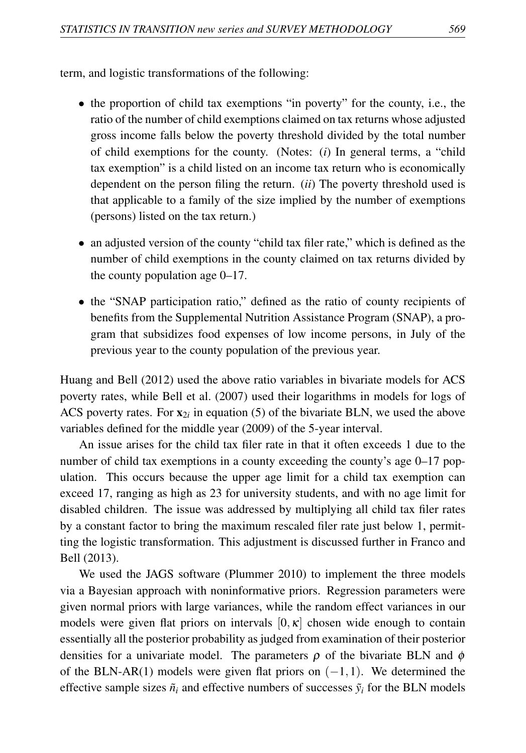term, and logistic transformations of the following:

- the proportion of child tax exemptions "in poverty" for the county, i.e., the ratio of the number of child exemptions claimed on tax returns whose adjusted gross income falls below the poverty threshold divided by the total number of child exemptions for the county. (Notes: (*i*) In general terms, a "child tax exemption" is a child listed on an income tax return who is economically dependent on the person filing the return. (*ii*) The poverty threshold used is that applicable to a family of the size implied by the number of exemptions (persons) listed on the tax return.)
- an adjusted version of the county "child tax filer rate," which is defined as the number of child exemptions in the county claimed on tax returns divided by the county population age 0–17.
- the "SNAP participation ratio," defined as the ratio of county recipients of benefits from the Supplemental Nutrition Assistance Program (SNAP), a program that subsidizes food expenses of low income persons, in July of the previous year to the county population of the previous year.

Huang and Bell (2012) used the above ratio variables in bivariate models for ACS poverty rates, while Bell et al. (2007) used their logarithms in models for logs of ACS poverty rates. For  $x_{2i}$  in equation (5) of the bivariate BLN, we used the above variables defined for the middle year (2009) of the 5-year interval.

An issue arises for the child tax filer rate in that it often exceeds 1 due to the number of child tax exemptions in a county exceeding the county's age 0–17 population. This occurs because the upper age limit for a child tax exemption can exceed 17, ranging as high as 23 for university students, and with no age limit for disabled children. The issue was addressed by multiplying all child tax filer rates by a constant factor to bring the maximum rescaled filer rate just below 1, permitting the logistic transformation. This adjustment is discussed further in Franco and Bell (2013).

We used the JAGS software (Plummer 2010) to implement the three models via a Bayesian approach with noninformative priors. Regression parameters were given normal priors with large variances, while the random effect variances in our models were given flat priors on intervals  $[0, \kappa]$  chosen wide enough to contain essentially all the posterior probability as judged from examination of their posterior densities for a univariate model. The parameters  $\rho$  of the bivariate BLN and  $\phi$ of the BLN-AR(1) models were given flat priors on  $(-1,1)$ . We determined the effective sample sizes  $\tilde{n}_i$  and effective numbers of successes  $\tilde{y}_i$  for the BLN models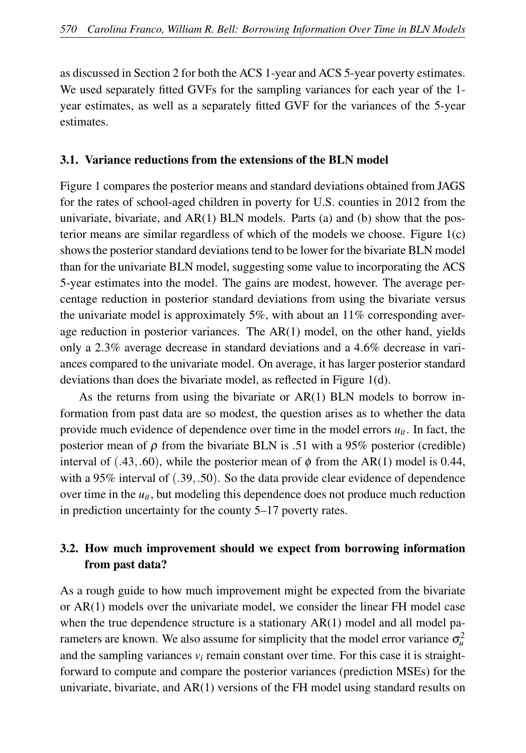as discussed in Section 2 for both the ACS 1-year and ACS 5-year poverty estimates. We used separately fitted GVFs for the sampling variances for each year of the 1 year estimates, as well as a separately fitted GVF for the variances of the 5-year estimates.

#### 3.1. Variance reductions from the extensions of the BLN model

Figure 1 compares the posterior means and standard deviations obtained from JAGS for the rates of school-aged children in poverty for U.S. counties in 2012 from the univariate, bivariate, and  $AR(1)$  BLN models. Parts (a) and (b) show that the posterior means are similar regardless of which of the models we choose. Figure 1(c) shows the posterior standard deviations tend to be lower for the bivariate BLN model than for the univariate BLN model, suggesting some value to incorporating the ACS 5-year estimates into the model. The gains are modest, however. The average percentage reduction in posterior standard deviations from using the bivariate versus the univariate model is approximately 5%, with about an 11% corresponding average reduction in posterior variances. The AR(1) model, on the other hand, yields only a 2.3% average decrease in standard deviations and a 4.6% decrease in variances compared to the univariate model. On average, it has larger posterior standard deviations than does the bivariate model, as reflected in Figure 1(d).

As the returns from using the bivariate or AR(1) BLN models to borrow information from past data are so modest, the question arises as to whether the data provide much evidence of dependence over time in the model errors  $u_{it}$ . In fact, the posterior mean of  $\rho$  from the bivariate BLN is .51 with a 95% posterior (credible) interval of (.43,.60), while the posterior mean of  $\phi$  from the AR(1) model is 0.44, with a 95% interval of  $(.39, .50)$ . So the data provide clear evidence of dependence over time in the  $u_{it}$ , but modeling this dependence does not produce much reduction in prediction uncertainty for the county 5–17 poverty rates.

# 3.2. How much improvement should we expect from borrowing information from past data?

As a rough guide to how much improvement might be expected from the bivariate or AR(1) models over the univariate model, we consider the linear FH model case when the true dependence structure is a stationary  $AR(1)$  model and all model parameters are known. We also assume for simplicity that the model error variance  $\sigma_u^2$ and the sampling variances  $v_i$  remain constant over time. For this case it is straightforward to compute and compare the posterior variances (prediction MSEs) for the univariate, bivariate, and AR(1) versions of the FH model using standard results on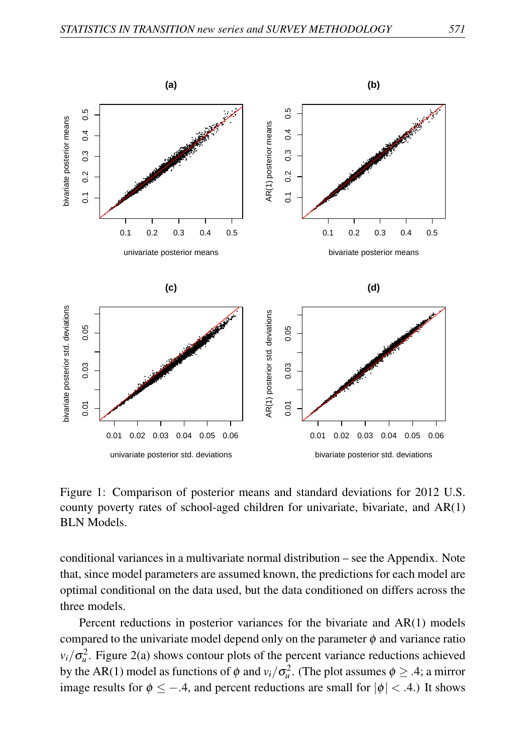

Figure 1: Comparison of posterior means and standard deviations for 2012 U.S. county poverty rates of school-aged children for univariate, bivariate, and AR(1) **BLN** Models.

conditional variances in a multivariate normal distribution – see the Appendix. Note that, since model parameters are assumed known, the predictions for each model are optimal conditional on the data used, but the data conditioned on differs across the three models.

Percent reductions in posterior variances for the bivariate and  $AR(1)$  models compared to the univariate model depend only on the parameter  $\phi$  and variance ratio  $v_i/\sigma_u^2$ . Figure 2(a) shows contour plots of the percent variance reductions achieved by the AR(1) model as functions of  $\phi$  and  $v_i/\sigma_u^2$ . (The plot assumes  $\phi \geq .4$ ; a mirror image results for  $\phi \le -.4$ , and percent reductions are small for  $|\phi| < .4$ .) It shows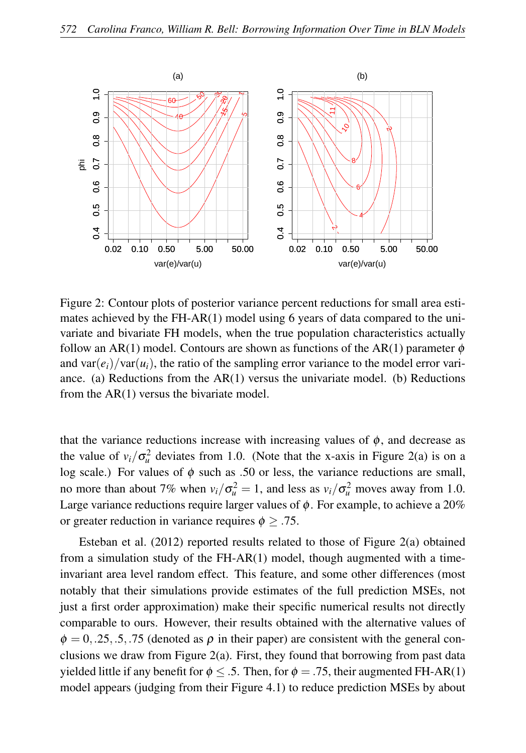

Figure 2: Contour plots of posterior variance percent reductions for small area estimates achieved by the FH-AR(1) model using 6 years of data compared to the univariate and bivariate FH models, when the true population characteristics actually follow an AR(1) model. Contours are shown as functions of the AR(1) parameter  $\phi$ and  $var(e_i)/var(u_i)$ , the ratio of the sampling error variance to the model error variance. (a) Reductions from the  $AR(1)$  versus the univariate model. (b) Reductions from the AR(1) versus the bivariate model.

that the variance reductions increase with increasing values of  $\phi$ , and decrease as the value of  $v_i/\sigma_u^2$  deviates from 1.0. (Note that the x-axis in Figure 2(a) is on a log scale.) For values of  $\phi$  such as .50 or less, the variance reductions are small, no more than about 7% when  $v_i/\sigma_u^2 = 1$ , and less as  $v_i/\sigma_u^2$  moves away from 1.0. Large variance reductions require larger values of  $\phi$ . For example, to achieve a 20% or greater reduction in variance requires  $\phi \geq .75$ .

Esteban et al. (2012) reported results related to those of Figure 2(a) obtained from a simulation study of the FH-AR(1) model, though augmented with a timeinvariant area level random effect. This feature, and some other differences (most notably that their simulations provide estimates of the full prediction MSEs, not just a first order approximation) make their specific numerical results not directly comparable to ours. However, their results obtained with the alternative values of  $\phi = 0$ , 25, 5, 75 (denoted as  $\rho$  in their paper) are consistent with the general conclusions we draw from Figure 2(a). First, they found that borrowing from past data yielded little if any benefit for  $\phi \leq .5$ . Then, for  $\phi = .75$ , their augmented FH-AR(1) model appears (judging from their Figure 4.1) to reduce prediction MSEs by about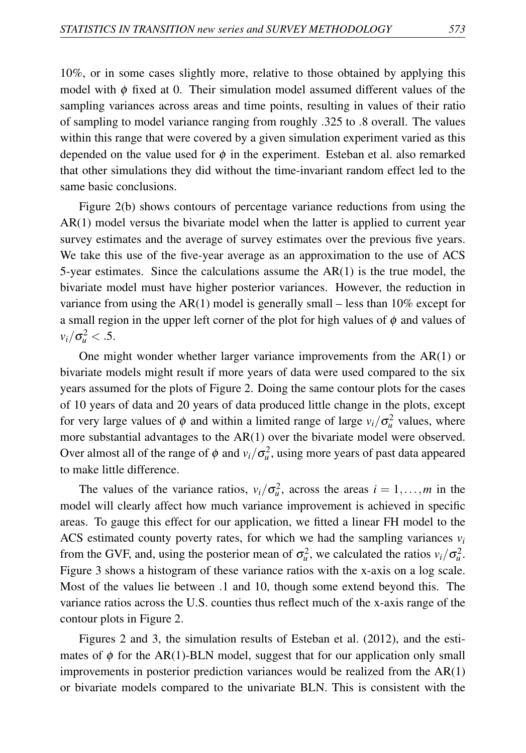10%, or in some cases slightly more, relative to those obtained by applying this model with  $\phi$  fixed at 0. Their simulation model assumed different values of the sampling variances across areas and time points, resulting in values of their ratio of sampling to model variance ranging from roughly .325 to .8 overall. The values within this range that were covered by a given simulation experiment varied as this depended on the value used for  $\phi$  in the experiment. Esteban et al. also remarked that other simulations they did without the time-invariant random effect led to the same basic conclusions.

Figure 2(b) shows contours of percentage variance reductions from using the AR(1) model versus the bivariate model when the latter is applied to current year survey estimates and the average of survey estimates over the previous five years. We take this use of the five-year average as an approximation to the use of ACS 5-year estimates. Since the calculations assume the  $AR(1)$  is the true model, the bivariate model must have higher posterior variances. However, the reduction in variance from using the AR(1) model is generally small – less than  $10\%$  except for a small region in the upper left corner of the plot for high values of  $\phi$  and values of  $v_i/\sigma_u^2 < .5$ .

One might wonder whether larger variance improvements from the AR(1) or bivariate models might result if more years of data were used compared to the six years assumed for the plots of Figure 2. Doing the same contour plots for the cases of 10 years of data and 20 years of data produced little change in the plots, except for very large values of  $\phi$  and within a limited range of large  $v_i/\sigma_u^2$  values, where more substantial advantages to the AR(1) over the bivariate model were observed. Over almost all of the range of  $\phi$  and  $v_i/\sigma_u^2$ , using more years of past data appeared to make little difference.

The values of the variance ratios,  $v_i/\sigma_u^2$ , across the areas  $i = 1, \ldots, m$  in the model will clearly affect how much variance improvement is achieved in specific areas. To gauge this effect for our application, we fitted a linear FH model to the ACS estimated county poverty rates, for which we had the sampling variances  $v_i$ from the GVF, and, using the posterior mean of  $\sigma_u^2$ , we calculated the ratios  $v_i/\sigma_u^2$ . Figure 3 shows a histogram of these variance ratios with the x-axis on a log scale. Most of the values lie between .1 and 10, though some extend beyond this. The variance ratios across the U.S. counties thus reflect much of the x-axis range of the contour plots in Figure 2.

Figures 2 and 3, the simulation results of Esteban et al. (2012), and the estimates of  $\phi$  for the AR(1)-BLN model, suggest that for our application only small improvements in posterior prediction variances would be realized from the AR(1) or bivariate models compared to the univariate BLN. This is consistent with the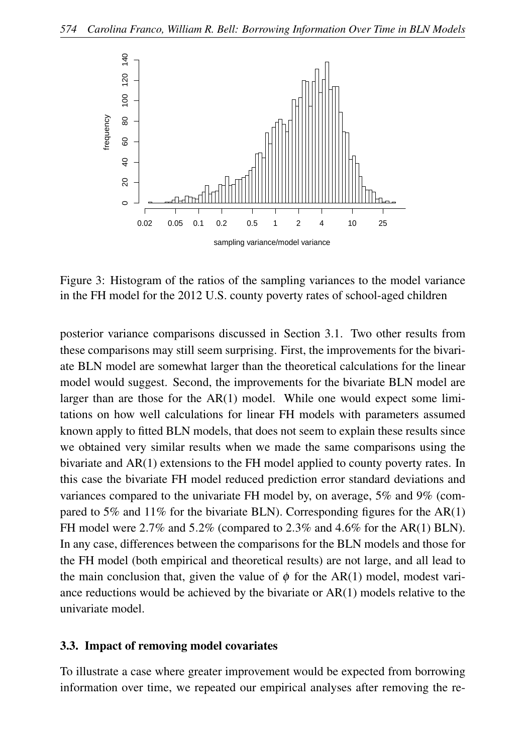

Figure 3: Histogram of the ratios of the sampling variances to the model variance in the FH model for the 2012 U.S. county poverty rates of school-aged children

posterior variance comparisons discussed in Section 3.1. Two other results from these comparisons may still seem surprising. First, the improvements for the bivariate BLN model are somewhat larger than the theoretical calculations for the linear model would suggest. Second, the improvements for the bivariate BLN model are larger than are those for the AR(1) model. While one would expect some limitations on how well calculations for linear FH models with parameters assumed known apply to fitted BLN models, that does not seem to explain these results since we obtained very similar results when we made the same comparisons using the bivariate and AR(1) extensions to the FH model applied to county poverty rates. In this case the bivariate FH model reduced prediction error standard deviations and variances compared to the univariate FH model by, on average, 5% and 9% (compared to 5% and 11% for the bivariate BLN). Corresponding figures for the  $AR(1)$ FH model were 2.7% and 5.2% (compared to 2.3% and 4.6% for the AR(1) BLN). In any case, differences between the comparisons for the BLN models and those for the FH model (both empirical and theoretical results) are not large, and all lead to the main conclusion that, given the value of  $\phi$  for the AR(1) model, modest variance reductions would be achieved by the bivariate or AR(1) models relative to the univariate model.

#### 3.3. Impact of removing model covariates

To illustrate a case where greater improvement would be expected from borrowing information over time, we repeated our empirical analyses after removing the re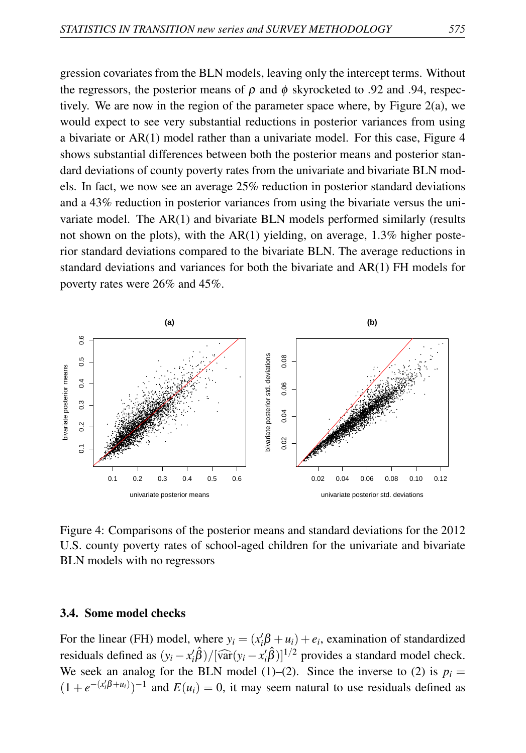gression covariates from the BLN models, leaving only the intercept terms. Without the regressors, the posterior means of  $\rho$  and  $\phi$  skyrocketed to .92 and .94, respectively. We are now in the region of the parameter space where, by Figure 2(a), we would expect to see very substantial reductions in posterior variances from using a bivariate or  $AR(1)$  model rather than a univariate model. For this case, Figure 4 shows substantial differences between both the posterior means and posterior standard deviations of county poverty rates from the univariate and bivariate BLN models. In fact, we now see an average 25% reduction in posterior standard deviations and a 43% reduction in posterior variances from using the bivariate versus the univariate model. The AR(1) and bivariate BLN models performed similarly (results not shown on the plots), with the AR(1) yielding, on average,  $1.3\%$  higher posterior standard deviations compared to the bivariate BLN. The average reductions in standard deviations and variances for both the bivariate and  $AR(1)$  FH models for poverty rates were 26% and 45%.



Figure 4: Comparisons of the posterior means and standard deviations for the 2012 U.S. county poverty rates of school-aged children for the univariate and bivariate BLN models with no regressors

### 3.4. Some model checks

For the linear (FH) model, where  $y_i = (x_i' \beta + u_i) + e_i$ , examination of standardized residuals defined as  $(y_i - x_i'\hat{\beta})/[\widehat{var}(y_i - x_i'\hat{\beta})]^{1/2}$  provides a standard model check. We seek an analog for the BLN model (1)–(2). Since the inverse to (2) is  $p_i =$  $(1 + e^{-(x_i'\beta + u_i)})^{-1}$  and  $E(u_i) = 0$ , it may seem natural to use residuals defined as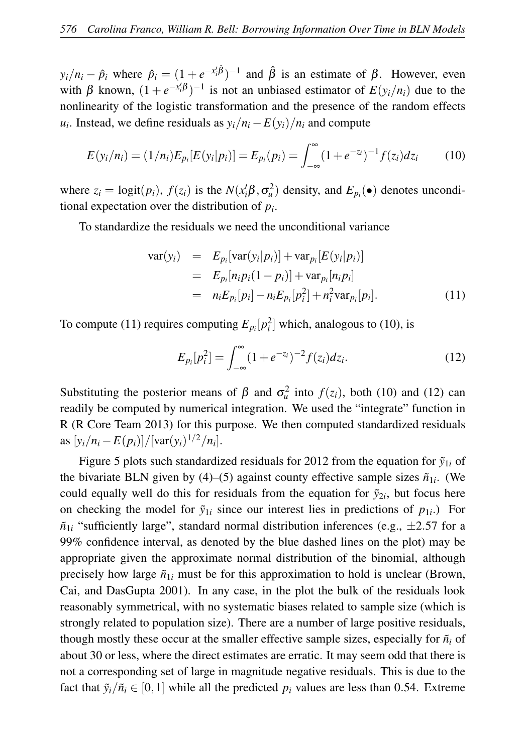$y_i/n_i - \hat{p}_i$  where  $\hat{p}_i = (1 + e^{-x_i/\hat{\beta}})^{-1}$  and  $\hat{\beta}$  is an estimate of  $\beta$ . However, even with β known,  $(1 + e^{-x_i/β})^{-1}$  is not an unbiased estimator of  $E(y_i/n_i)$  due to the nonlinearity of the logistic transformation and the presence of the random effects *u*<sub>*i*</sub>. Instead, we define residuals as  $y_i/n_i - E(y_i)/n_i$  and compute

$$
E(y_i/n_i) = (1/n_i)E_{p_i}[E(y_i|p_i)] = E_{p_i}(p_i) = \int_{-\infty}^{\infty} (1 + e^{-z_i})^{-1} f(z_i) dz_i
$$
 (10)

where  $z_i = \text{logit}(p_i)$ ,  $f(z_i)$  is the  $N(x_i' \beta, \sigma_u^2)$  density, and  $E_{p_i}(\bullet)$  denotes unconditional expectation over the distribution of *p<sup>i</sup>* .

To standardize the residuals we need the unconditional variance

$$
\begin{array}{rcl}\n\text{var}(y_i) & = & E_{p_i}[\text{var}(y_i|p_i)] + \text{var}_{p_i}[E(y_i|p_i)] \\
& = & E_{p_i}[n_i p_i(1-p_i)] + \text{var}_{p_i}[n_i p_i] \\
& = & n_i E_{p_i}[p_i] - n_i E_{p_i}[p_i^2] + n_i^2 \text{var}_{p_i}[p_i].\n\end{array}\n\tag{11}
$$

To compute (11) requires computing  $E_{p_i}[p_i^2]$  which, analogous to (10), is

$$
E_{p_i}[p_i^2] = \int_{-\infty}^{\infty} (1 + e^{-z_i})^{-2} f(z_i) dz_i.
$$
 (12)

Substituting the posterior means of  $\beta$  and  $\sigma_u^2$  into  $f(z_i)$ , both (10) and (12) can readily be computed by numerical integration. We used the "integrate" function in R (R Core Team 2013) for this purpose. We then computed standardized residuals as  $[y_i/n_i - E(p_i)] / [var(y_i)^{1/2}/n_i].$ 

Figure 5 plots such standardized residuals for 2012 from the equation for  $\tilde{y}_{1i}$  of the bivariate BLN given by (4)–(5) against county effective sample sizes  $\tilde{n}_{1i}$ . (We could equally well do this for residuals from the equation for  $\tilde{y}_{2i}$ , but focus here on checking the model for  $\tilde{y}_{1i}$  since our interest lies in predictions of  $p_{1i}$ .) For  $\tilde{n}_{1i}$  "sufficiently large", standard normal distribution inferences (e.g.,  $\pm 2.57$  for a 99% confidence interval, as denoted by the blue dashed lines on the plot) may be appropriate given the approximate normal distribution of the binomial, although precisely how large  $\tilde{n}_{1i}$  must be for this approximation to hold is unclear (Brown, Cai, and DasGupta 2001). In any case, in the plot the bulk of the residuals look reasonably symmetrical, with no systematic biases related to sample size (which is strongly related to population size). There are a number of large positive residuals, though mostly these occur at the smaller effective sample sizes, especially for  $\tilde{n}_i$  of about 30 or less, where the direct estimates are erratic. It may seem odd that there is not a corresponding set of large in magnitude negative residuals. This is due to the fact that  $\tilde{y}_i/\tilde{n}_i \in [0,1]$  while all the predicted  $p_i$  values are less than 0.54. Extreme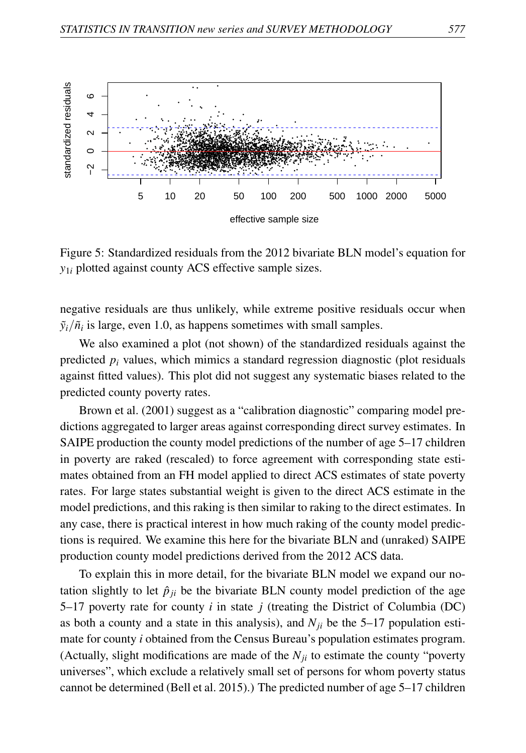

Figure 5: Standardized residuals from the 2012 bivariate BLN model's equation for *y*1*<sup>i</sup>* plotted against county ACS effective sample sizes.

negative residuals are thus unlikely, while extreme positive residuals occur when  $\tilde{y}_i/\tilde{n}_i$  is large, even 1.0, as happens sometimes with small samples.

We also examined a plot (not shown) of the standardized residuals against the predicted  $p_i$  values, which mimics a standard regression diagnostic (plot residuals against fitted values). This plot did not suggest any systematic biases related to the predicted county poverty rates.

Brown et al. (2001) suggest as a "calibration diagnostic" comparing model predictions aggregated to larger areas against corresponding direct survey estimates. In SAIPE production the county model predictions of the number of age 5–17 children in poverty are raked (rescaled) to force agreement with corresponding state estimates obtained from an FH model applied to direct ACS estimates of state poverty rates. For large states substantial weight is given to the direct ACS estimate in the model predictions, and this raking is then similar to raking to the direct estimates. In any case, there is practical interest in how much raking of the county model predictions is required. We examine this here for the bivariate BLN and (unraked) SAIPE production county model predictions derived from the 2012 ACS data.

To explain this in more detail, for the bivariate BLN model we expand our notation slightly to let  $\hat{p}_{ji}$  be the bivariate BLN county model prediction of the age 5–17 poverty rate for county *i* in state *j* (treating the District of Columbia (DC) as both a county and a state in this analysis), and  $N_{ii}$  be the 5–17 population estimate for county *i* obtained from the Census Bureau's population estimates program. (Actually, slight modifications are made of the  $N_{ij}$  to estimate the county "poverty" universes", which exclude a relatively small set of persons for whom poverty status cannot be determined (Bell et al. 2015).) The predicted number of age 5–17 children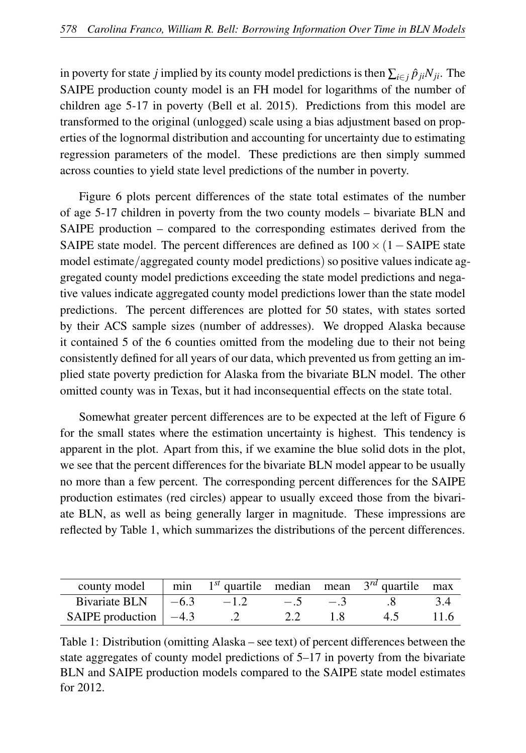in poverty for state *j* implied by its county model predictions is then  $\sum_{i \in j} \hat{p}_{ji} N_{ji}$ . The SAIPE production county model is an FH model for logarithms of the number of children age 5-17 in poverty (Bell et al. 2015). Predictions from this model are transformed to the original (unlogged) scale using a bias adjustment based on properties of the lognormal distribution and accounting for uncertainty due to estimating regression parameters of the model. These predictions are then simply summed across counties to yield state level predictions of the number in poverty.

Figure 6 plots percent differences of the state total estimates of the number of age 5-17 children in poverty from the two county models – bivariate BLN and SAIPE production – compared to the corresponding estimates derived from the SAIPE state model. The percent differences are defined as  $100 \times (1 - SAIPE)$  state model estimate/aggregated county model predictions) so positive values indicate aggregated county model predictions exceeding the state model predictions and negative values indicate aggregated county model predictions lower than the state model predictions. The percent differences are plotted for 50 states, with states sorted by their ACS sample sizes (number of addresses). We dropped Alaska because it contained 5 of the 6 counties omitted from the modeling due to their not being consistently defined for all years of our data, which prevented us from getting an implied state poverty prediction for Alaska from the bivariate BLN model. The other omitted county was in Texas, but it had inconsequential effects on the state total.

Somewhat greater percent differences are to be expected at the left of Figure 6 for the small states where the estimation uncertainty is highest. This tendency is apparent in the plot. Apart from this, if we examine the blue solid dots in the plot, we see that the percent differences for the bivariate BLN model appear to be usually no more than a few percent. The corresponding percent differences for the SAIPE production estimates (red circles) appear to usually exceed those from the bivariate BLN, as well as being generally larger in magnitude. These impressions are reflected by Table 1, which summarizes the distributions of the percent differences.

| county model min $1^{st}$ quartile median mean $3^{rd}$ quartile max |  |             |      |     |      |
|----------------------------------------------------------------------|--|-------------|------|-----|------|
| Bivariate BLN $ -6.3 -1.2 $                                          |  | $-.5 \t-.3$ |      |     |      |
| SAIPE production $ -4.3$ .2                                          |  | 2.2         | -1.8 | 4.5 | 11.6 |

Table 1: Distribution (omitting Alaska – see text) of percent differences between the state aggregates of county model predictions of 5–17 in poverty from the bivariate BLN and SAIPE production models compared to the SAIPE state model estimates for 2012.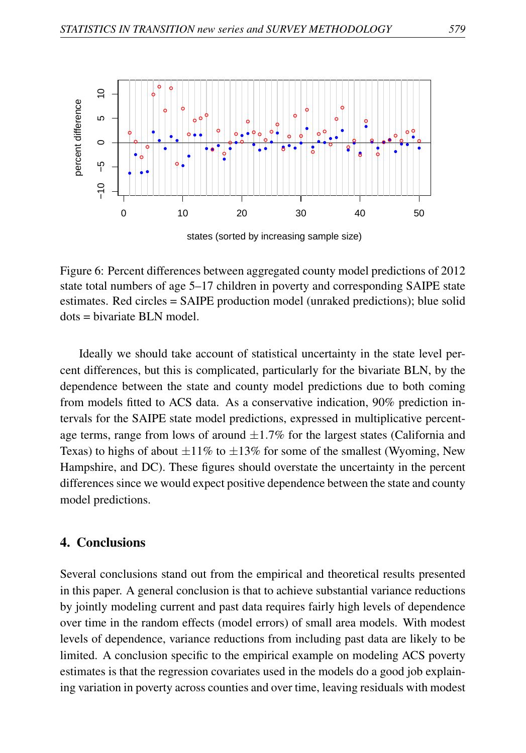

Figure 6: Percent differences between aggregated county model predictions of 2012 state total numbers of age 5–17 children in poverty and corresponding SAIPE state estimates. Red circles = SAIPE production model (unraked predictions); blue solid dots = bivariate BLN model.

Ideally we should take account of statistical uncertainty in the state level percent differences, but this is complicated, particularly for the bivariate BLN, by the dependence between the state and county model predictions due to both coming from models fitted to ACS data. As a conservative indication, 90% prediction intervals for the SAIPE state model predictions, expressed in multiplicative percentage terms, range from lows of around  $\pm 1.7\%$  for the largest states (California and Texas) to highs of about  $\pm 11\%$  to  $\pm 13\%$  for some of the smallest (Wyoming, New Hampshire, and DC). These figures should overstate the uncertainty in the percent differences since we would expect positive dependence between the state and county model predictions.

### 4. Conclusions

Several conclusions stand out from the empirical and theoretical results presented in this paper. A general conclusion is that to achieve substantial variance reductions by jointly modeling current and past data requires fairly high levels of dependence over time in the random effects (model errors) of small area models. With modest levels of dependence, variance reductions from including past data are likely to be limited. A conclusion specific to the empirical example on modeling ACS poverty estimates is that the regression covariates used in the models do a good job explaining variation in poverty across counties and over time, leaving residuals with modest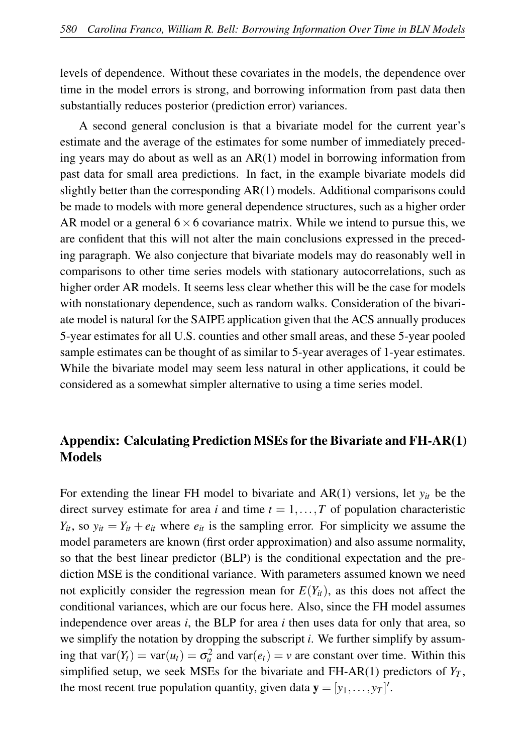levels of dependence. Without these covariates in the models, the dependence over time in the model errors is strong, and borrowing information from past data then substantially reduces posterior (prediction error) variances.

A second general conclusion is that a bivariate model for the current year's estimate and the average of the estimates for some number of immediately preceding years may do about as well as an AR(1) model in borrowing information from past data for small area predictions. In fact, in the example bivariate models did slightly better than the corresponding AR(1) models. Additional comparisons could be made to models with more general dependence structures, such as a higher order AR model or a general  $6 \times 6$  covariance matrix. While we intend to pursue this, we are confident that this will not alter the main conclusions expressed in the preceding paragraph. We also conjecture that bivariate models may do reasonably well in comparisons to other time series models with stationary autocorrelations, such as higher order AR models. It seems less clear whether this will be the case for models with nonstationary dependence, such as random walks. Consideration of the bivariate model is natural for the SAIPE application given that the ACS annually produces 5-year estimates for all U.S. counties and other small areas, and these 5-year pooled sample estimates can be thought of as similar to 5-year averages of 1-year estimates. While the bivariate model may seem less natural in other applications, it could be considered as a somewhat simpler alternative to using a time series model.

# Appendix: Calculating Prediction MSEs for the Bivariate and FH-AR(1) Models

For extending the linear FH model to bivariate and  $AR(1)$  versions, let  $y_{it}$  be the direct survey estimate for area *i* and time  $t = 1, \ldots, T$  of population characteristic  $Y_{it}$ , so  $y_{it} = Y_{it} + e_{it}$  where  $e_{it}$  is the sampling error. For simplicity we assume the model parameters are known (first order approximation) and also assume normality, so that the best linear predictor (BLP) is the conditional expectation and the prediction MSE is the conditional variance. With parameters assumed known we need not explicitly consider the regression mean for  $E(Y_{it})$ , as this does not affect the conditional variances, which are our focus here. Also, since the FH model assumes independence over areas *i*, the BLP for area *i* then uses data for only that area, so we simplify the notation by dropping the subscript *i*. We further simplify by assuming that  $var(Y_t) = var(u_t) = \sigma_u^2$  and  $var(e_t) = v$  are constant over time. Within this simplified setup, we seek MSEs for the bivariate and FH-AR(1) predictors of  $Y_T$ , the most recent true population quantity, given data  $\mathbf{y} = [y_1, \dots, y_T]$ .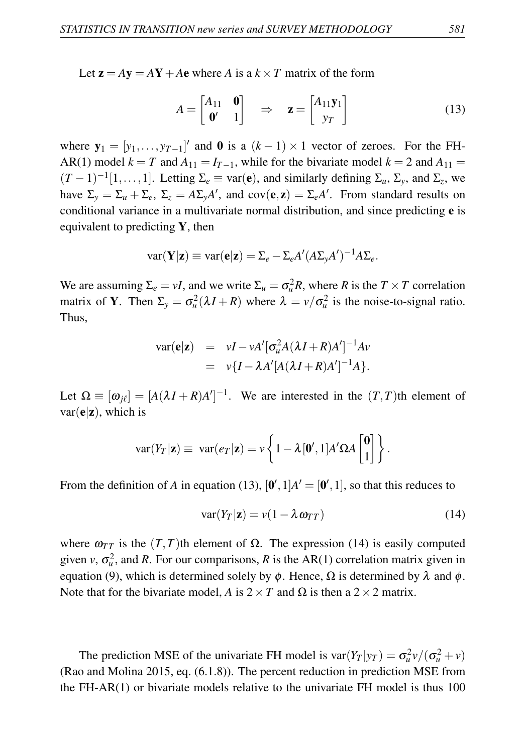Let  $z = Ay = AY + Ae$  where *A* is a  $k \times T$  matrix of the form

$$
A = \begin{bmatrix} A_{11} & \mathbf{0} \\ \mathbf{0}' & 1 \end{bmatrix} \Rightarrow \mathbf{z} = \begin{bmatrix} A_{11}\mathbf{y}_1 \\ y_T \end{bmatrix}
$$
(13)

where  $y_1 = [y_1, \ldots, y_{T-1}]'$  and 0 is a  $(k-1) \times 1$  vector of zeroes. For the FH-AR(1) model  $k = T$  and  $A_{11} = I_{T-1}$ , while for the bivariate model  $k = 2$  and  $A_{11} =$  $(T-1)^{-1}[1,\ldots,1]$ . Letting  $\Sigma_e \equiv \text{var}(\mathbf{e})$ , and similarly defining  $\Sigma_u$ ,  $\Sigma_y$ , and  $\Sigma_z$ , we have  $\Sigma_y = \Sigma_u + \Sigma_e$ ,  $\Sigma_z = A\Sigma_y A'$ , and  $cov(\mathbf{e}, \mathbf{z}) = \Sigma_e A'$ . From standard results on conditional variance in a multivariate normal distribution, and since predicting e is equivalent to predicting  $Y$ , then

$$
var(\mathbf{Y}|\mathbf{z}) \equiv var(\mathbf{e}|\mathbf{z}) = \Sigma_e - \Sigma_e A' (A\Sigma_y A')^{-1} A\Sigma_e.
$$

We are assuming  $\Sigma_e = vI$ , and we write  $\Sigma_u = \sigma_u^2 R$ , where *R* is the  $T \times T$  correlation matrix of **Y**. Then  $\Sigma_y = \sigma_u^2(\lambda I + R)$  where  $\lambda = v/\sigma_u^2$  is the noise-to-signal ratio. Thus,

$$
\begin{array}{rcl}\n\text{var}(\mathbf{e}|\mathbf{z}) & = & vI - vA'[\sigma_u^2 A(\lambda I + R)A']^{-1}Av \\
& = & v\{I - \lambda A'[A(\lambda I + R)A']^{-1}A\}.\n\end{array}
$$

Let  $\Omega \equiv [\omega_{j\ell}] = [A(\lambda I + R)A']^{-1}$ . We are interested in the  $(T, T)$ th element of  $var(\mathbf{e}|\mathbf{z})$ , which is

$$
\text{var}(Y_T|\mathbf{z}) \equiv \text{var}(e_T|\mathbf{z}) = \nu \left\{ 1 - \lambda [\mathbf{0}', 1] A' \Omega A \begin{bmatrix} \mathbf{0} \\ 1 \end{bmatrix} \right\}.
$$

From the definition of *A* in equation (13),  $[0', 1]A' = [0', 1]$ , so that this reduces to

$$
var(Y_T|\mathbf{z}) = v(1 - \lambda \omega_{TT})
$$
\n(14)

where  $\omega_{TT}$  is the  $(T, T)$ th element of  $\Omega$ . The expression (14) is easily computed given *v*,  $\sigma_u^2$ , and *R*. For our comparisons, *R* is the AR(1) correlation matrix given in equation (9), which is determined solely by φ. Hence,  $\Omega$  is determined by  $\lambda$  and φ. Note that for the bivariate model, *A* is  $2 \times T$  and  $\Omega$  is then a  $2 \times 2$  matrix.

The prediction MSE of the univariate FH model is  $var(Y_T | y_T) = \sigma_u^2 v / (\sigma_u^2 + v)$ (Rao and Molina 2015, eq. (6.1.8)). The percent reduction in prediction MSE from the FH-AR $(1)$  or bivariate models relative to the univariate FH model is thus 100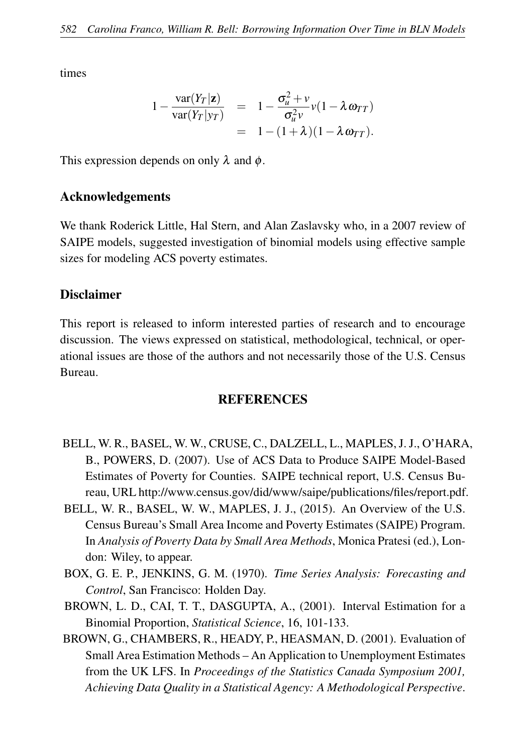times

$$
1 - \frac{\text{var}(Y_T|\mathbf{z})}{\text{var}(Y_T|\mathbf{y}_T)} = 1 - \frac{\sigma_u^2 + \nu}{\sigma_u^2 \nu} \nu (1 - \lambda \omega_{TT})
$$
  
= 1 - (1 + \lambda)(1 - \lambda \omega\_{TT}).

This expression depends on only  $\lambda$  and  $\phi$ .

## Acknowledgements

We thank Roderick Little, Hal Stern, and Alan Zaslavsky who, in a 2007 review of SAIPE models, suggested investigation of binomial models using effective sample sizes for modeling ACS poverty estimates.

## Disclaimer

This report is released to inform interested parties of research and to encourage discussion. The views expressed on statistical, methodological, technical, or operational issues are those of the authors and not necessarily those of the U.S. Census Bureau.

#### REFERENCES

- BELL, W. R., BASEL, W. W., CRUSE, C., DALZELL, L., MAPLES, J. J., O'HARA, B., POWERS, D. (2007). Use of ACS Data to Produce SAIPE Model-Based Estimates of Poverty for Counties. SAIPE technical report, U.S. Census Bureau, URL http://www.census.gov/did/www/saipe/publications/files/report.pdf.
- BELL, W. R., BASEL, W. W., MAPLES, J. J., (2015). An Overview of the U.S. Census Bureau's Small Area Income and Poverty Estimates (SAIPE) Program. In *Analysis of Poverty Data by Small Area Methods*, Monica Pratesi (ed.), London: Wiley, to appear.
- BOX, G. E. P., JENKINS, G. M. (1970). *Time Series Analysis: Forecasting and Control*, San Francisco: Holden Day.
- BROWN, L. D., CAI, T. T., DASGUPTA, A., (2001). Interval Estimation for a Binomial Proportion, *Statistical Science*, 16, 101-133.
- BROWN, G., CHAMBERS, R., HEADY, P., HEASMAN, D. (2001). Evaluation of Small Area Estimation Methods – An Application to Unemployment Estimates from the UK LFS. In *Proceedings of the Statistics Canada Symposium 2001, Achieving Data Quality in a Statistical Agency: A Methodological Perspective*.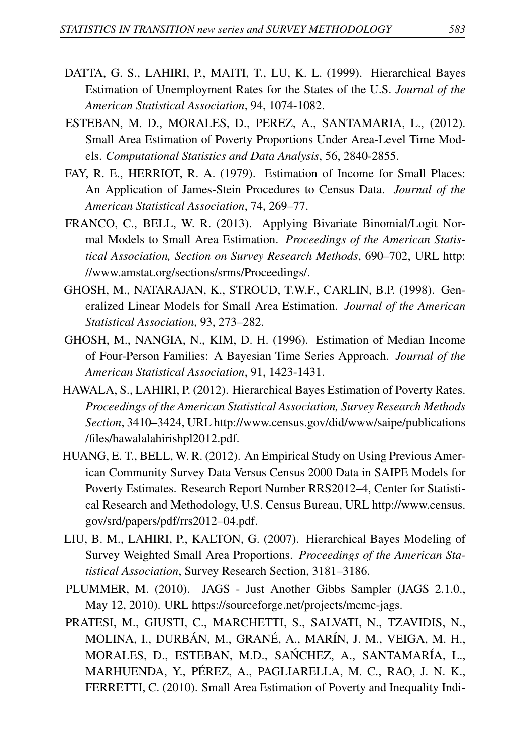- DATTA, G. S., LAHIRI, P., MAITI, T., LU, K. L. (1999). Hierarchical Bayes Estimation of Unemployment Rates for the States of the U.S. *Journal of the American Statistical Association*, 94, 1074-1082.
- ESTEBAN, M. D., MORALES, D., PEREZ, A., SANTAMARIA, L., (2012). Small Area Estimation of Poverty Proportions Under Area-Level Time Models. *Computational Statistics and Data Analysis*, 56, 2840-2855.
- FAY, R. E., HERRIOT, R. A. (1979). Estimation of Income for Small Places: An Application of James-Stein Procedures to Census Data. *Journal of the American Statistical Association*, 74, 269–77.
- FRANCO, C., BELL, W. R. (2013). Applying Bivariate Binomial/Logit Normal Models to Small Area Estimation. *Proceedings of the American Statistical Association, Section on Survey Research Methods*, 690–702, URL http: //www.amstat.org/sections/srms/Proceedings/.
- GHOSH, M., NATARAJAN, K., STROUD, T.W.F., CARLIN, B.P. (1998). Generalized Linear Models for Small Area Estimation. *Journal of the American Statistical Association*, 93, 273–282.
- GHOSH, M., NANGIA, N., KIM, D. H. (1996). Estimation of Median Income of Four-Person Families: A Bayesian Time Series Approach. *Journal of the American Statistical Association*, 91, 1423-1431.
- HAWALA, S., LAHIRI, P. (2012). Hierarchical Bayes Estimation of Poverty Rates. *Proceedings of the American Statistical Association, Survey Research Methods Section*, 3410–3424, URL http://www.census.gov/did/www/saipe/publications /files/hawalalahirishpl2012.pdf.
- HUANG, E. T., BELL, W. R. (2012). An Empirical Study on Using Previous American Community Survey Data Versus Census 2000 Data in SAIPE Models for Poverty Estimates. Research Report Number RRS2012–4, Center for Statistical Research and Methodology, U.S. Census Bureau, URL http://www.census. gov/srd/papers/pdf/rrs2012–04.pdf.
- LIU, B. M., LAHIRI, P., KALTON, G. (2007). Hierarchical Bayes Modeling of Survey Weighted Small Area Proportions. *Proceedings of the American Statistical Association*, Survey Research Section, 3181–3186.
- PLUMMER, M. (2010). JAGS Just Another Gibbs Sampler (JAGS 2.1.0., May 12, 2010). URL https://sourceforge.net/projects/mcmc-jags.
- PRATESI, M., GIUSTI, C., MARCHETTI, S., SALVATI, N., TZAVIDIS, N., MOLINA, I., DURBÁN, M., GRANÉ, A., MARÍN, J. M., VEIGA, M. H., MORALES, D., ESTEBAN, M.D., SANCHEZ, A., SANTAMARÍA, L., ´ MARHUENDA, Y., PÉREZ, A., PAGLIARELLA, M. C., RAO, J. N. K., FERRETTI, C. (2010). Small Area Estimation of Poverty and Inequality Indi-